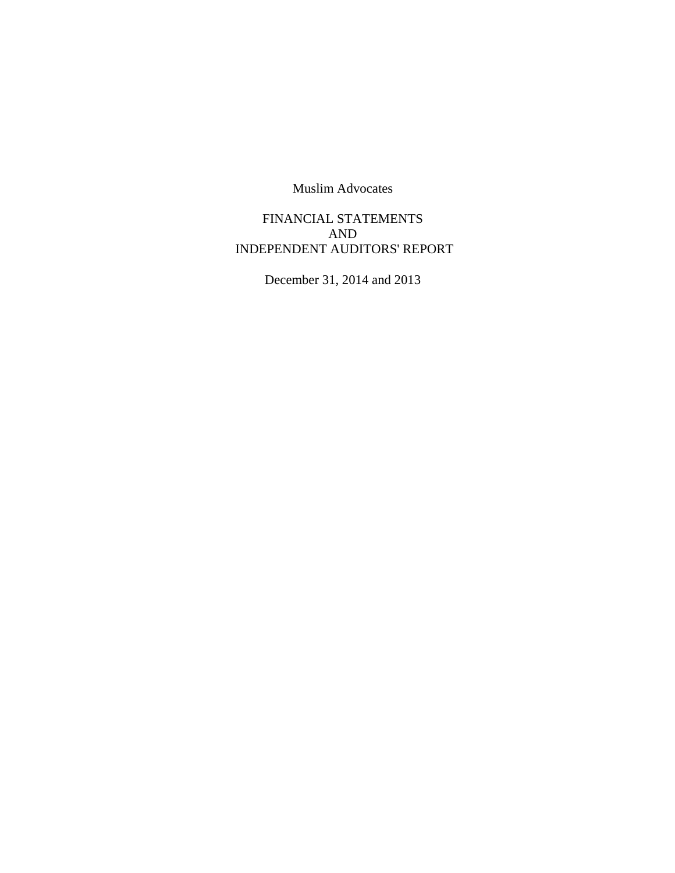FINANCIAL STATEMENTS AND INDEPENDENT AUDITORS' REPORT

December 31, 2014 and 2013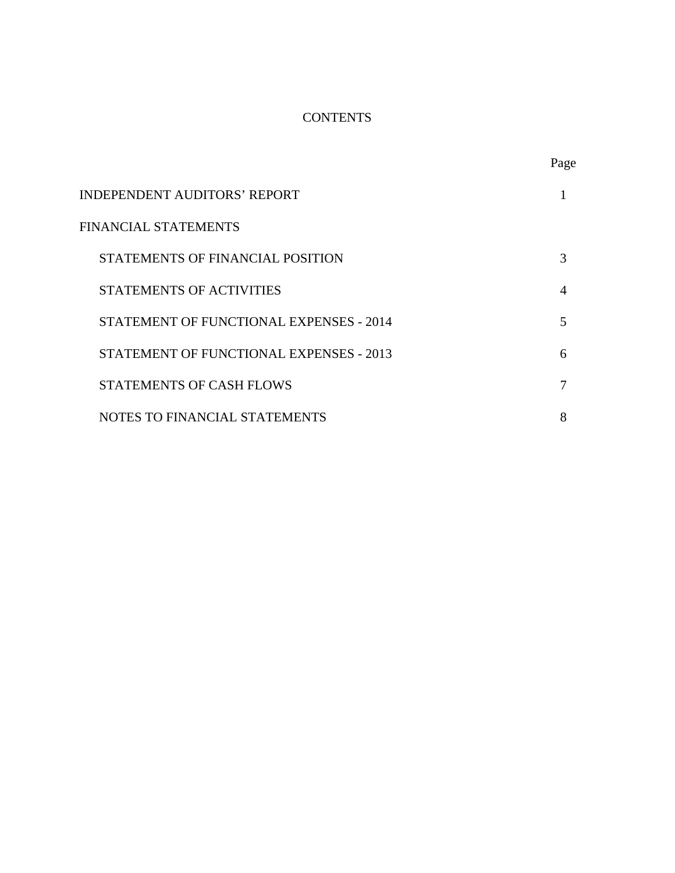# **CONTENTS**

|                                         | Page           |
|-----------------------------------------|----------------|
| INDEPENDENT AUDITORS' REPORT            |                |
| FINANCIAL STATEMENTS                    |                |
| STATEMENTS OF FINANCIAL POSITION        | 3              |
| <b>STATEMENTS OF ACTIVITIES</b>         | $\overline{A}$ |
| STATEMENT OF FUNCTIONAL EXPENSES - 2014 | 5              |
| STATEMENT OF FUNCTIONAL EXPENSES - 2013 | 6              |
| <b>STATEMENTS OF CASH FLOWS</b>         | 7              |
| NOTES TO FINANCIAL STATEMENTS           | 8              |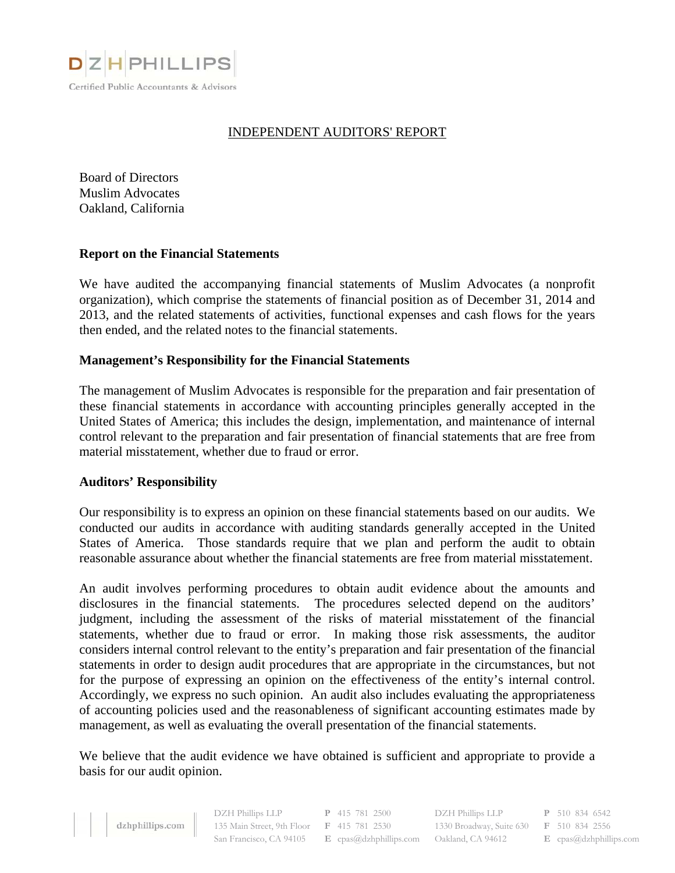

# INDEPENDENT AUDITORS' REPORT

Board of Directors Muslim Advocates Oakland, California

#### **Report on the Financial Statements**

We have audited the accompanying financial statements of Muslim Advocates (a nonprofit organization), which comprise the statements of financial position as of December 31, 2014 and 2013, and the related statements of activities, functional expenses and cash flows for the years then ended, and the related notes to the financial statements.

#### **Management's Responsibility for the Financial Statements**

The management of Muslim Advocates is responsible for the preparation and fair presentation of these financial statements in accordance with accounting principles generally accepted in the United States of America; this includes the design, implementation, and maintenance of internal control relevant to the preparation and fair presentation of financial statements that are free from material misstatement, whether due to fraud or error.

#### **Auditors' Responsibility**

Our responsibility is to express an opinion on these financial statements based on our audits. We conducted our audits in accordance with auditing standards generally accepted in the United States of America. Those standards require that we plan and perform the audit to obtain reasonable assurance about whether the financial statements are free from material misstatement.

An audit involves performing procedures to obtain audit evidence about the amounts and disclosures in the financial statements. The procedures selected depend on the auditors' judgment, including the assessment of the risks of material misstatement of the financial statements, whether due to fraud or error. In making those risk assessments, the auditor considers internal control relevant to the entity's preparation and fair presentation of the financial statements in order to design audit procedures that are appropriate in the circumstances, but not for the purpose of expressing an opinion on the effectiveness of the entity's internal control. Accordingly, we express no such opinion. An audit also includes evaluating the appropriateness of accounting policies used and the reasonableness of significant accounting estimates made by management, as well as evaluating the overall presentation of the financial statements.

We believe that the audit evidence we have obtained is sufficient and appropriate to provide a basis for our audit opinion.

| dzhphillips.com |
|-----------------|
|                 |

DZH Phillips LLP **P** 415 781 2500 135 Main Street, 9th Floor **F** 415 781 2530

San Francisco, CA 94105 **E** cpas@dzhphillips.com Oakland, CA 94612 **E** cpas@dzhphillips.com DZH Phillips LLP **P** 510 834 6542 1330 Broadway, Suite 630 **F** 510 834 2556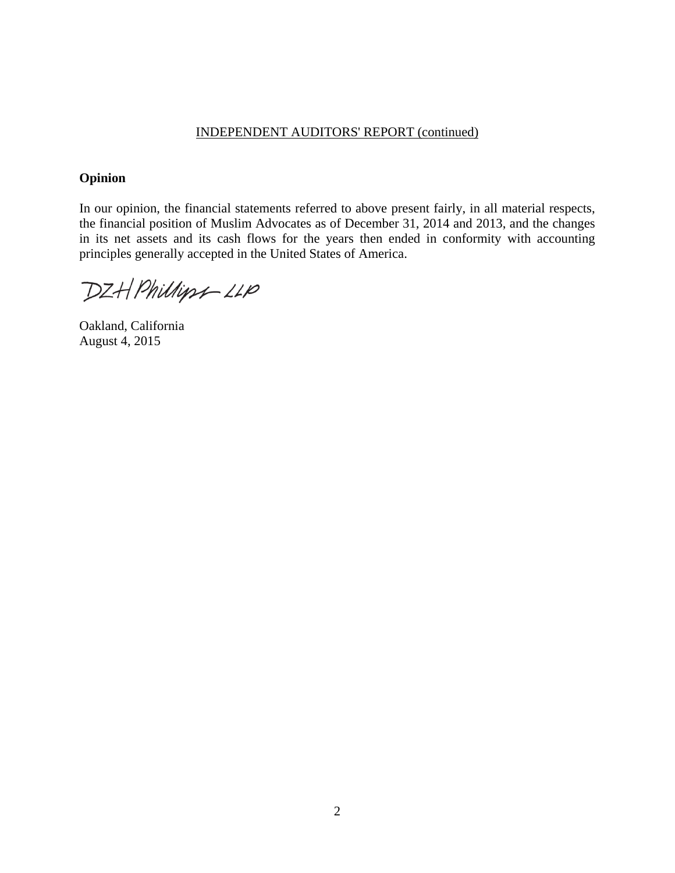#### INDEPENDENT AUDITORS' REPORT (continued)

# **Opinion**

In our opinion, the financial statements referred to above present fairly, in all material respects, the financial position of Muslim Advocates as of December 31, 2014 and 2013, and the changes in its net assets and its cash flows for the years then ended in conformity with accounting principles generally accepted in the United States of America.

DZH Phillips-LLP

Oakland, California August 4, 2015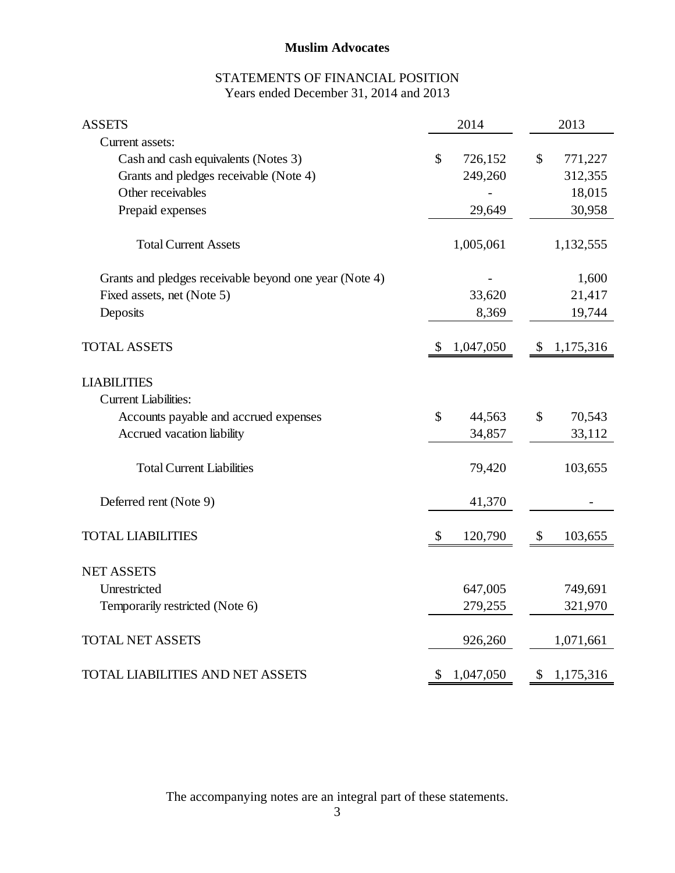# STATEMENTS OF FINANCIAL POSITION Years ended December 31, 2014 and 2013

| <b>ASSETS</b>                                          | 2014                      | 2013                                 |
|--------------------------------------------------------|---------------------------|--------------------------------------|
| Current assets:                                        |                           |                                      |
| Cash and cash equivalents (Notes 3)                    | \$<br>726,152             | \$<br>771,227                        |
| Grants and pledges receivable (Note 4)                 | 249,260                   | 312,355                              |
| Other receivables                                      |                           | 18,015                               |
| Prepaid expenses                                       | 29,649                    | 30,958                               |
| <b>Total Current Assets</b>                            | 1,005,061                 | 1,132,555                            |
| Grants and pledges receivable beyond one year (Note 4) |                           | 1,600                                |
| Fixed assets, net (Note 5)                             | 33,620                    | 21,417                               |
| Deposits                                               | 8,369                     | 19,744                               |
| <b>TOTAL ASSETS</b>                                    | $\mathbb{S}$<br>1,047,050 | \$<br>1,175,316                      |
| <b>LIABILITIES</b>                                     |                           |                                      |
| <b>Current Liabilities:</b>                            |                           |                                      |
| Accounts payable and accrued expenses                  | \$<br>44,563              | \$<br>70,543                         |
| Accrued vacation liability                             | 34,857                    | 33,112                               |
| <b>Total Current Liabilities</b>                       | 79,420                    | 103,655                              |
| Deferred rent (Note 9)                                 | 41,370                    |                                      |
| <b>TOTAL LIABILITIES</b>                               | \$<br>120,790             | $\boldsymbol{\mathsf{S}}$<br>103,655 |
| <b>NET ASSETS</b>                                      |                           |                                      |
| Unrestricted                                           | 647,005                   | 749,691                              |
| Temporarily restricted (Note 6)                        | 279,255                   | 321,970                              |
| <b>TOTAL NET ASSETS</b>                                | 926,260                   | 1,071,661                            |
| <b>TOTAL LIABILITIES AND NET ASSETS</b>                | \$<br>1,047,050           | \$<br>1,175,316                      |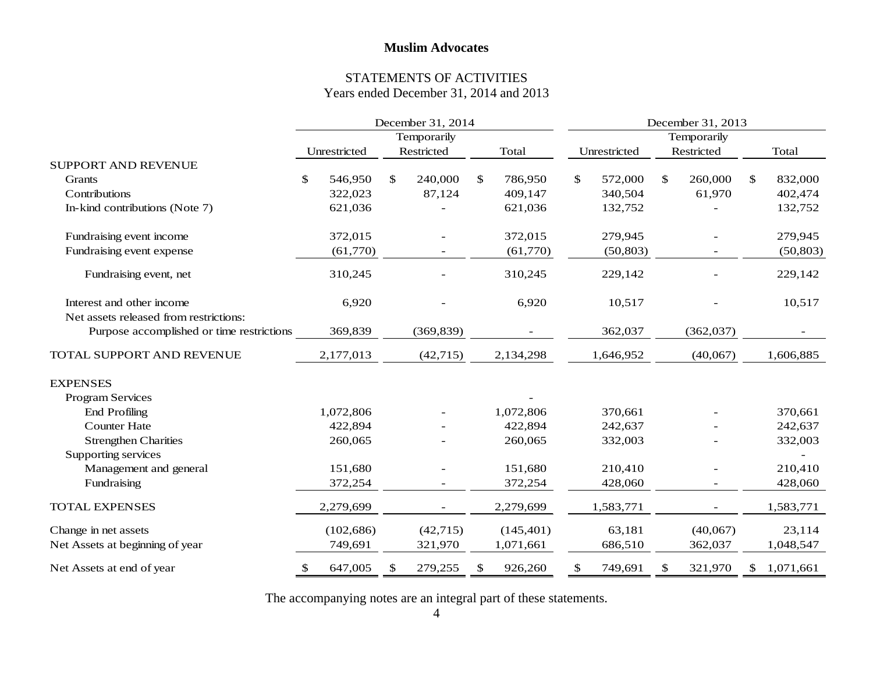#### STATEMENTS OF ACTIVITIES Years ended December 31, 2014 and 2013

|                                           | December 31, 2014 |    |            |    |            |    | December 31, 2013 |    |            |    |           |  |
|-------------------------------------------|-------------------|----|------------|----|------------|----|-------------------|----|------------|----|-----------|--|
|                                           | Temporarily       |    |            |    |            |    | Temporarily       |    |            |    |           |  |
|                                           | Unrestricted      |    | Restricted |    | Total      |    | Unrestricted      |    | Restricted |    | Total     |  |
| <b>SUPPORT AND REVENUE</b>                |                   |    |            |    |            |    |                   |    |            |    |           |  |
| Grants                                    | 546,950<br>\$     | \$ | 240,000    | \$ | 786,950    | \$ | 572,000           | \$ | 260,000    | \$ | 832,000   |  |
| Contributions                             | 322,023           |    | 87,124     |    | 409,147    |    | 340,504           |    | 61,970     |    | 402,474   |  |
| In-kind contributions (Note 7)            | 621,036           |    |            |    | 621,036    |    | 132,752           |    |            |    | 132,752   |  |
| Fundraising event income                  | 372,015           |    |            |    | 372,015    |    | 279,945           |    |            |    | 279,945   |  |
| Fundraising event expense                 | (61,770)          |    |            |    | (61,770)   |    | (50, 803)         |    |            |    | (50, 803) |  |
| Fundraising event, net                    | 310,245           |    |            |    | 310,245    |    | 229,142           |    |            |    | 229,142   |  |
| Interest and other income                 | 6,920             |    |            |    | 6,920      |    | 10,517            |    |            |    | 10,517    |  |
| Net assets released from restrictions:    |                   |    |            |    |            |    |                   |    |            |    |           |  |
| Purpose accomplished or time restrictions | 369,839           |    | (369, 839) |    |            |    | 362,037           |    | (362,037)  |    |           |  |
| TOTAL SUPPORT AND REVENUE                 | 2,177,013         |    | (42, 715)  |    | 2,134,298  |    | 1,646,952         |    | (40,067)   |    | 1,606,885 |  |
| <b>EXPENSES</b>                           |                   |    |            |    |            |    |                   |    |            |    |           |  |
| Program Services                          |                   |    |            |    |            |    |                   |    |            |    |           |  |
| <b>End Profiling</b>                      | 1,072,806         |    |            |    | 1,072,806  |    | 370,661           |    |            |    | 370,661   |  |
| <b>Counter Hate</b>                       | 422,894           |    |            |    | 422,894    |    | 242,637           |    |            |    | 242,637   |  |
| <b>Strengthen Charities</b>               | 260,065           |    |            |    | 260,065    |    | 332,003           |    |            |    | 332,003   |  |
| Supporting services                       |                   |    |            |    |            |    |                   |    |            |    |           |  |
| Management and general                    | 151,680           |    |            |    | 151,680    |    | 210,410           |    |            |    | 210,410   |  |
| Fundraising                               | 372,254           |    |            |    | 372,254    |    | 428,060           |    |            |    | 428,060   |  |
| <b>TOTAL EXPENSES</b>                     | 2,279,699         |    |            |    | 2,279,699  |    | 1,583,771         |    |            |    | 1,583,771 |  |
| Change in net assets                      | (102, 686)        |    | (42, 715)  |    | (145, 401) |    | 63,181            |    | (40,067)   |    | 23,114    |  |
| Net Assets at beginning of year           | 749,691           |    | 321,970    |    | 1,071,661  |    | 686,510           |    | 362,037    |    | 1,048,547 |  |
| Net Assets at end of year                 | 647,005<br>\$     | \$ | 279,255    | \$ | 926,260    | \$ | 749,691           | \$ | 321,970    | \$ | 1,071,661 |  |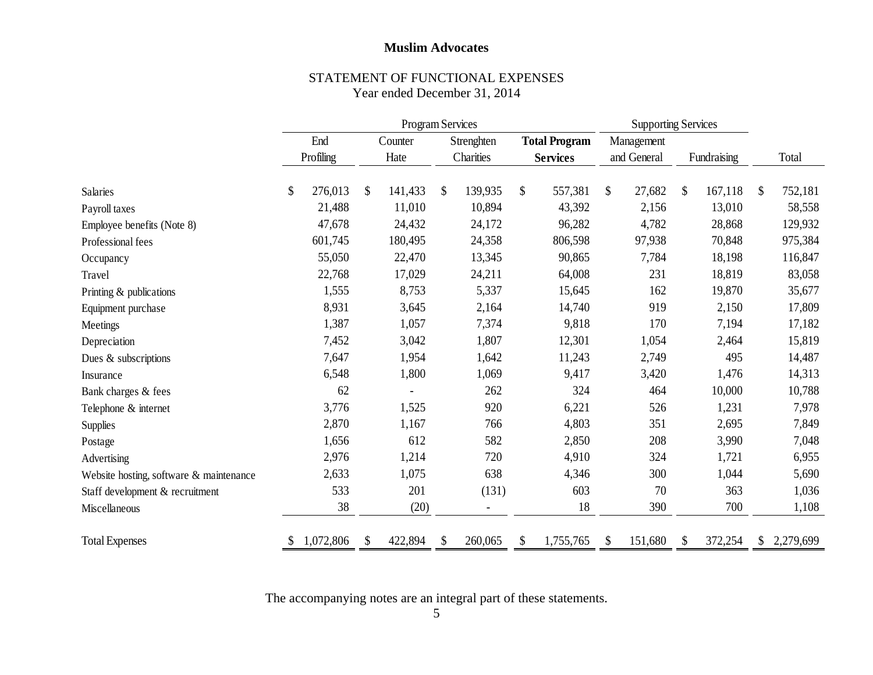#### STATEMENT OF FUNCTIONAL EXPENSES Year ended December 31, 2014

|                                         | Program Services |           |                                               |         |    |            | <b>Supporting Services</b> |    |             |               |             |                           |           |
|-----------------------------------------|------------------|-----------|-----------------------------------------------|---------|----|------------|----------------------------|----|-------------|---------------|-------------|---------------------------|-----------|
|                                         |                  | End       | Strenghten<br><b>Total Program</b><br>Counter |         |    | Management |                            |    |             |               |             |                           |           |
|                                         |                  | Profiling |                                               | Hate    |    | Charities  | <b>Services</b>            |    | and General |               | Fundraising |                           | Total     |
| <b>Salaries</b>                         | \$               | 276,013   | $\mathcal{S}$                                 | 141,433 | \$ | 139,935    | \$<br>557,381              | \$ | 27,682      | $\mathcal{S}$ | 167,118     | $\boldsymbol{\mathsf{S}}$ | 752,181   |
| Payroll taxes                           |                  | 21,488    |                                               | 11,010  |    | 10,894     | 43,392                     |    | 2,156       |               | 13,010      |                           | 58,558    |
| Employee benefits (Note 8)              |                  | 47,678    |                                               | 24,432  |    | 24,172     | 96,282                     |    | 4,782       |               | 28,868      |                           | 129,932   |
| Professional fees                       |                  | 601,745   |                                               | 180,495 |    | 24,358     | 806,598                    |    | 97,938      |               | 70,848      |                           | 975,384   |
| Occupancy                               |                  | 55,050    |                                               | 22,470  |    | 13,345     | 90,865                     |    | 7,784       |               | 18,198      |                           | 116,847   |
| Travel                                  |                  | 22,768    |                                               | 17,029  |    | 24,211     | 64,008                     |    | 231         |               | 18,819      |                           | 83,058    |
| Printing & publications                 |                  | 1,555     |                                               | 8,753   |    | 5,337      | 15,645                     |    | 162         |               | 19,870      |                           | 35,677    |
| Equipment purchase                      |                  | 8,931     |                                               | 3,645   |    | 2,164      | 14,740                     |    | 919         |               | 2,150       |                           | 17,809    |
| Meetings                                |                  | 1,387     |                                               | 1,057   |    | 7,374      | 9,818                      |    | 170         |               | 7,194       |                           | 17,182    |
| Depreciation                            |                  | 7,452     |                                               | 3,042   |    | 1,807      | 12,301                     |    | 1,054       |               | 2,464       |                           | 15,819    |
| Dues & subscriptions                    |                  | 7,647     |                                               | 1,954   |    | 1,642      | 11,243                     |    | 2,749       |               | 495         |                           | 14,487    |
| Insurance                               |                  | 6,548     |                                               | 1,800   |    | 1,069      | 9,417                      |    | 3,420       |               | 1,476       |                           | 14,313    |
| Bank charges & fees                     |                  | 62        |                                               |         |    | 262        | 324                        |    | 464         |               | 10,000      |                           | 10,788    |
| Telephone & internet                    |                  | 3,776     |                                               | 1,525   |    | 920        | 6,221                      |    | 526         |               | 1,231       |                           | 7,978     |
| <b>Supplies</b>                         |                  | 2,870     |                                               | 1,167   |    | 766        | 4,803                      |    | 351         |               | 2,695       |                           | 7,849     |
| Postage                                 |                  | 1,656     |                                               | 612     |    | 582        | 2,850                      |    | 208         |               | 3,990       |                           | 7,048     |
| Advertising                             |                  | 2,976     |                                               | 1,214   |    | 720        | 4,910                      |    | 324         |               | 1,721       |                           | 6,955     |
| Website hosting, software & maintenance |                  | 2,633     |                                               | 1,075   |    | 638        | 4,346                      |    | 300         |               | 1,044       |                           | 5,690     |
| Staff development & recruitment         |                  | 533       |                                               | 201     |    | (131)      | 603                        |    | 70          |               | 363         |                           | 1,036     |
| Miscellaneous                           |                  | 38        |                                               | (20)    |    |            | 18                         |    | 390         |               | 700         |                           | 1,108     |
| <b>Total Expenses</b>                   | S                | 1,072,806 |                                               | 422,894 | \$ | 260,065    | \$<br>1,755,765            | S  | 151,680     | \$            | 372,254     | S.                        | 2,279,699 |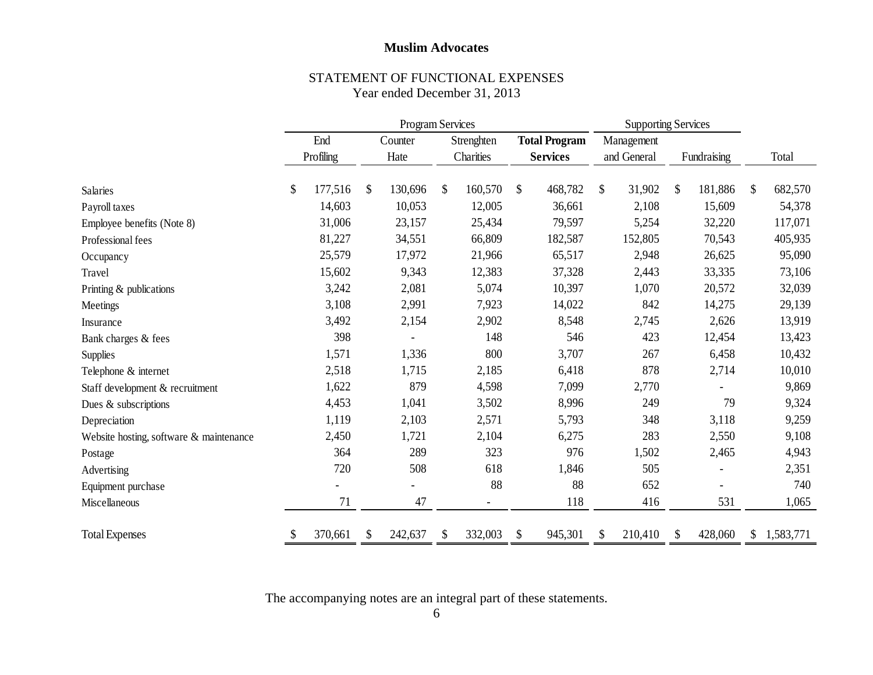#### STATEMENT OF FUNCTIONAL EXPENSES Year ended December 31, 2013

|                                         |    | <b>Program Services</b> |    |         |    |            | <b>Supporting Services</b> |               |                           |             |    |           |
|-----------------------------------------|----|-------------------------|----|---------|----|------------|----------------------------|---------------|---------------------------|-------------|----|-----------|
|                                         |    | End                     |    | Counter |    | Strenghten | <b>Total Program</b>       | Management    |                           |             |    |           |
|                                         |    | Profiling               |    | Hate    |    | Charities  | <b>Services</b>            | and General   |                           | Fundraising |    | Total     |
| Salaries                                | \$ | 177,516                 | \$ | 130,696 | \$ | 160,570    | \$<br>468,782              | \$<br>31,902  | $\boldsymbol{\mathsf{S}}$ | 181,886     | \$ | 682,570   |
| Payroll taxes                           |    | 14,603                  |    | 10,053  |    | 12,005     | 36,661                     | 2,108         |                           | 15,609      |    | 54,378    |
| Employee benefits (Note 8)              |    | 31,006                  |    | 23,157  |    | 25,434     | 79,597                     | 5,254         |                           | 32,220      |    | 117,071   |
| Professional fees                       |    | 81,227                  |    | 34,551  |    | 66,809     | 182,587                    | 152,805       |                           | 70,543      |    | 405,935   |
| Occupancy                               |    | 25,579                  |    | 17,972  |    | 21,966     | 65,517                     | 2,948         |                           | 26,625      |    | 95,090    |
| Travel                                  |    | 15,602                  |    | 9,343   |    | 12,383     | 37,328                     | 2,443         |                           | 33,335      |    | 73,106    |
| Printing & publications                 |    | 3,242                   |    | 2,081   |    | 5,074      | 10,397                     | 1,070         |                           | 20,572      |    | 32,039    |
| Meetings                                |    | 3,108                   |    | 2,991   |    | 7,923      | 14,022                     | 842           |                           | 14,275      |    | 29,139    |
| Insurance                               |    | 3,492                   |    | 2,154   |    | 2,902      | 8,548                      | 2,745         |                           | 2,626       |    | 13,919    |
| Bank charges & fees                     |    | 398                     |    |         |    | 148        | 546                        | 423           |                           | 12,454      |    | 13,423    |
| <b>Supplies</b>                         |    | 1,571                   |    | 1,336   |    | 800        | 3,707                      | 267           |                           | 6,458       |    | 10,432    |
| Telephone & internet                    |    | 2,518                   |    | 1,715   |    | 2,185      | 6,418                      | 878           |                           | 2,714       |    | 10,010    |
| Staff development & recruitment         |    | 1,622                   |    | 879     |    | 4,598      | 7,099                      | 2,770         |                           |             |    | 9,869     |
| Dues & subscriptions                    |    | 4,453                   |    | 1,041   |    | 3,502      | 8,996                      | 249           |                           | 79          |    | 9,324     |
| Depreciation                            |    | 1,119                   |    | 2,103   |    | 2,571      | 5,793                      | 348           |                           | 3,118       |    | 9,259     |
| Website hosting, software & maintenance |    | 2,450                   |    | 1,721   |    | 2,104      | 6,275                      | 283           |                           | 2,550       |    | 9,108     |
| Postage                                 |    | 364                     |    | 289     |    | 323        | 976                        | 1,502         |                           | 2,465       |    | 4,943     |
| Advertising                             |    | 720                     |    | 508     |    | 618        | 1,846                      | 505           |                           |             |    | 2,351     |
| Equipment purchase                      |    |                         |    |         |    | 88         | 88                         | 652           |                           |             |    | 740       |
| Miscellaneous                           |    | 71                      |    | 47      |    |            | 118                        | 416           |                           | 531         |    | 1,065     |
| <b>Total Expenses</b>                   | S  | 370,661                 | S  | 242,637 | \$ | 332,003    | \$<br>945,301              | \$<br>210,410 | <sup>\$</sup>             | 428,060     | \$ | 1,583,771 |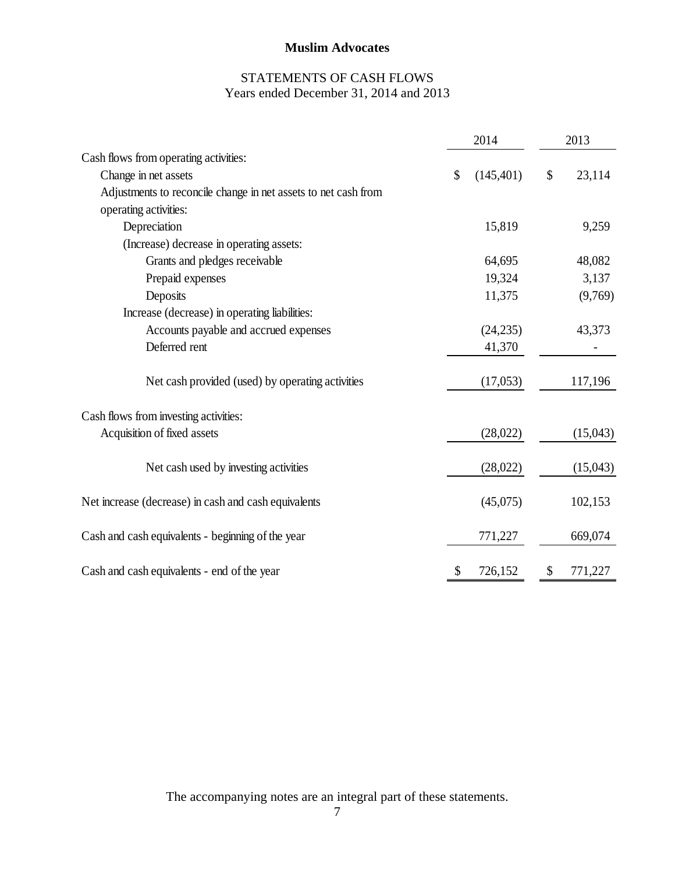# STATEMENTS OF CASH FLOWS Years ended December 31, 2014 and 2013

|                                                                | 2014             | 2013          |
|----------------------------------------------------------------|------------------|---------------|
| Cash flows from operating activities:                          |                  |               |
| Change in net assets                                           | \$<br>(145, 401) | \$<br>23,114  |
| Adjustments to reconcile change in net assets to net cash from |                  |               |
| operating activities:                                          |                  |               |
| Depreciation                                                   | 15,819           | 9,259         |
| (Increase) decrease in operating assets:                       |                  |               |
| Grants and pledges receivable                                  | 64,695           | 48,082        |
| Prepaid expenses                                               | 19,324           | 3,137         |
| Deposits                                                       | 11,375           | (9,769)       |
| Increase (decrease) in operating liabilities:                  |                  |               |
| Accounts payable and accrued expenses                          | (24, 235)        | 43,373        |
| Deferred rent                                                  | 41,370           |               |
| Net cash provided (used) by operating activities               | (17,053)         | 117,196       |
| Cash flows from investing activities:                          |                  |               |
| Acquisition of fixed assets                                    | (28,022)         | (15,043)      |
| Net cash used by investing activities                          | (28,022)         | (15,043)      |
| Net increase (decrease) in cash and cash equivalents           | (45,075)         | 102,153       |
| Cash and cash equivalents - beginning of the year              | 771,227          | 669,074       |
| Cash and cash equivalents - end of the year                    | \$<br>726,152    | \$<br>771,227 |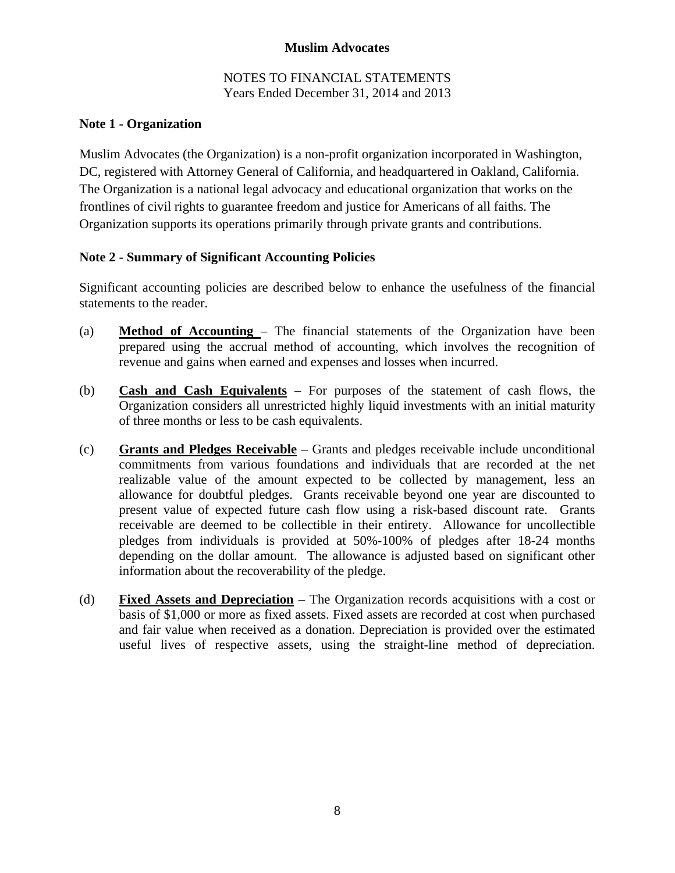#### NOTES TO FINANCIAL STATEMENTS Years Ended December 31, 2014 and 2013

# **Note 1 - Organization**

Muslim Advocates (the Organization) is a non-profit organization incorporated in Washington, DC, registered with Attorney General of California, and headquartered in Oakland, California. The Organization is a national legal advocacy and educational organization that works on the frontlines of civil rights to guarantee freedom and justice for Americans of all faiths. The Organization supports its operations primarily through private grants and contributions.

### **Note 2 - Summary of Significant Accounting Policies**

Significant accounting policies are described below to enhance the usefulness of the financial statements to the reader.

- (a) **Method of Accounting**  The financial statements of the Organization have been prepared using the accrual method of accounting, which involves the recognition of revenue and gains when earned and expenses and losses when incurred.
- (b) **Cash and Cash Equivalents** For purposes of the statement of cash flows, the Organization considers all unrestricted highly liquid investments with an initial maturity of three months or less to be cash equivalents.
- (c) **Grants and Pledges Receivable** Grants and pledges receivable include unconditional commitments from various foundations and individuals that are recorded at the net realizable value of the amount expected to be collected by management, less an allowance for doubtful pledges. Grants receivable beyond one year are discounted to present value of expected future cash flow using a risk-based discount rate. Grants receivable are deemed to be collectible in their entirety. Allowance for uncollectible pledges from individuals is provided at 50%-100% of pledges after 18-24 months depending on the dollar amount. The allowance is adjusted based on significant other information about the recoverability of the pledge.
- (d) **Fixed Assets and Depreciation** The Organization records acquisitions with a cost or basis of \$1,000 or more as fixed assets. Fixed assets are recorded at cost when purchased and fair value when received as a donation. Depreciation is provided over the estimated useful lives of respective assets, using the straight-line method of depreciation.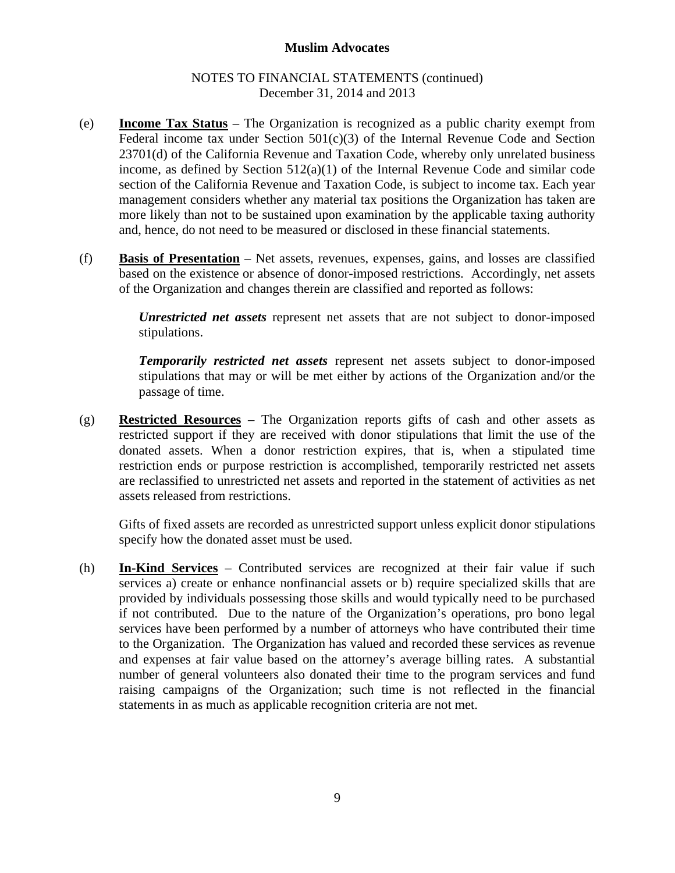#### NOTES TO FINANCIAL STATEMENTS (continued) December 31, 2014 and 2013

- (e) **Income Tax Status** The Organization is recognized as a public charity exempt from Federal income tax under Section  $501(c)(3)$  of the Internal Revenue Code and Section 23701(d) of the California Revenue and Taxation Code, whereby only unrelated business income, as defined by Section 512(a)(1) of the Internal Revenue Code and similar code section of the California Revenue and Taxation Code, is subject to income tax. Each year management considers whether any material tax positions the Organization has taken are more likely than not to be sustained upon examination by the applicable taxing authority and, hence, do not need to be measured or disclosed in these financial statements.
- (f) **Basis of Presentation** Net assets, revenues, expenses, gains, and losses are classified based on the existence or absence of donor-imposed restrictions. Accordingly, net assets of the Organization and changes therein are classified and reported as follows:

*Unrestricted net assets* represent net assets that are not subject to donor-imposed stipulations.

*Temporarily restricted net assets* represent net assets subject to donor-imposed stipulations that may or will be met either by actions of the Organization and/or the passage of time.

(g) **Restricted Resources** – The Organization reports gifts of cash and other assets as restricted support if they are received with donor stipulations that limit the use of the donated assets. When a donor restriction expires, that is, when a stipulated time restriction ends or purpose restriction is accomplished, temporarily restricted net assets are reclassified to unrestricted net assets and reported in the statement of activities as net assets released from restrictions.

 Gifts of fixed assets are recorded as unrestricted support unless explicit donor stipulations specify how the donated asset must be used.

(h) **In-Kind Services** – Contributed services are recognized at their fair value if such services a) create or enhance nonfinancial assets or b) require specialized skills that are provided by individuals possessing those skills and would typically need to be purchased if not contributed. Due to the nature of the Organization's operations, pro bono legal services have been performed by a number of attorneys who have contributed their time to the Organization. The Organization has valued and recorded these services as revenue and expenses at fair value based on the attorney's average billing rates. A substantial number of general volunteers also donated their time to the program services and fund raising campaigns of the Organization; such time is not reflected in the financial statements in as much as applicable recognition criteria are not met.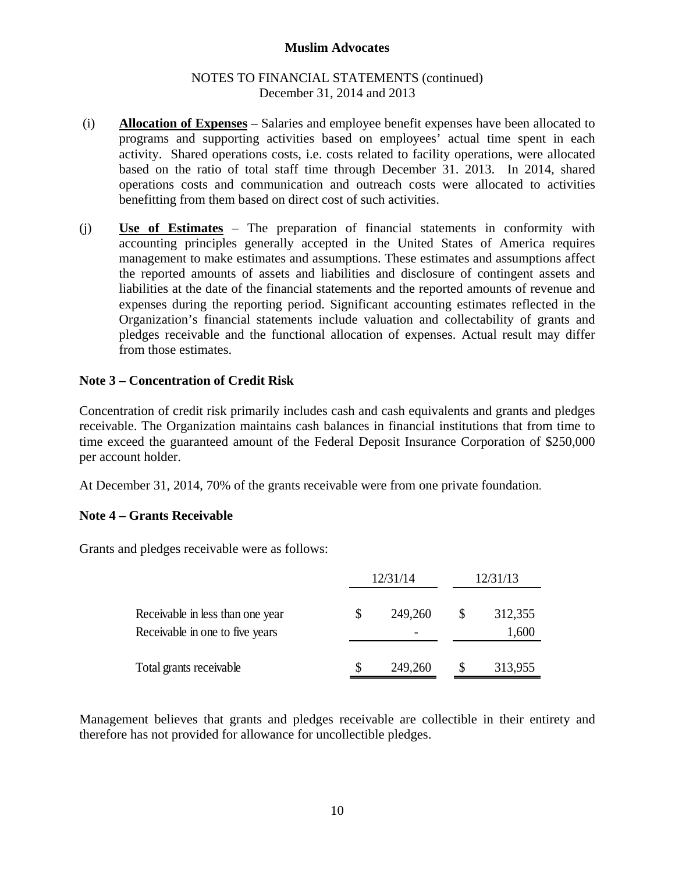#### NOTES TO FINANCIAL STATEMENTS (continued) December 31, 2014 and 2013

- (i) **Allocation of Expenses** Salaries and employee benefit expenses have been allocated to programs and supporting activities based on employees' actual time spent in each activity. Shared operations costs, i.e. costs related to facility operations, were allocated based on the ratio of total staff time through December 31. 2013. In 2014, shared operations costs and communication and outreach costs were allocated to activities benefitting from them based on direct cost of such activities.
- (j) **Use of Estimates** The preparation of financial statements in conformity with accounting principles generally accepted in the United States of America requires management to make estimates and assumptions. These estimates and assumptions affect the reported amounts of assets and liabilities and disclosure of contingent assets and liabilities at the date of the financial statements and the reported amounts of revenue and expenses during the reporting period. Significant accounting estimates reflected in the Organization's financial statements include valuation and collectability of grants and pledges receivable and the functional allocation of expenses. Actual result may differ from those estimates.

### **Note 3 – Concentration of Credit Risk**

Concentration of credit risk primarily includes cash and cash equivalents and grants and pledges receivable. The Organization maintains cash balances in financial institutions that from time to time exceed the guaranteed amount of the Federal Deposit Insurance Corporation of \$250,000 per account holder.

At December 31, 2014, 70% of the grants receivable were from one private foundation.

# **Note 4 – Grants Receivable**

Grants and pledges receivable were as follows:

|                                                                     |    | 12/31/14 | 12/31/13 |                  |  |  |
|---------------------------------------------------------------------|----|----------|----------|------------------|--|--|
| Receivable in less than one year<br>Receivable in one to five years | \$ | 249,260  | S        | 312,355<br>1,600 |  |  |
| Total grants receivable                                             | S  | 249,260  |          | 313,955          |  |  |

Management believes that grants and pledges receivable are collectible in their entirety and therefore has not provided for allowance for uncollectible pledges.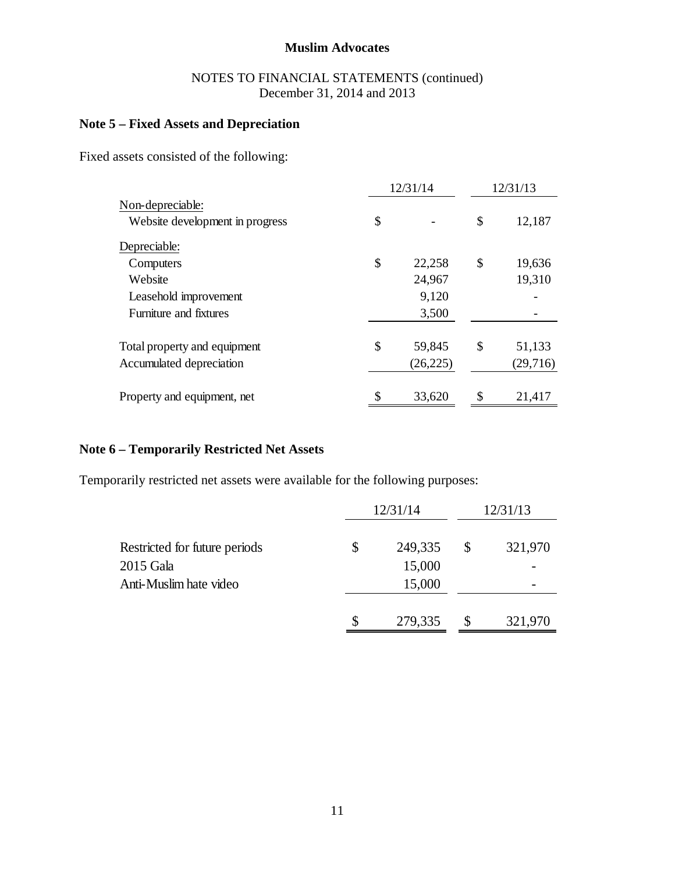### NOTES TO FINANCIAL STATEMENTS (continued) December 31, 2014 and 2013

# **Note 5 – Fixed Assets and Depreciation**

Fixed assets consisted of the following:

|                                 | 12/31/14     | 12/31/13 |          |  |  |
|---------------------------------|--------------|----------|----------|--|--|
| Non-depreciable:                |              |          |          |  |  |
| Website development in progress | \$           | \$       | 12,187   |  |  |
| Depreciable:                    |              |          |          |  |  |
| Computers                       | \$<br>22,258 | \$       | 19,636   |  |  |
| Website                         | 24,967       |          | 19,310   |  |  |
| Leasehold improvement           | 9,120        |          |          |  |  |
| Furniture and fixtures          | 3,500        |          |          |  |  |
| Total property and equipment    | \$<br>59,845 | \$       | 51,133   |  |  |
| Accumulated depreciation        | (26, 225)    |          | (29,716) |  |  |
| Property and equipment, net     | \$<br>33,620 | \$       | 21,417   |  |  |

### **Note 6 – Temporarily Restricted Net Assets**

Temporarily restricted net assets were available for the following purposes:

|                               |    | 12/31/14 | 12/31/13      |
|-------------------------------|----|----------|---------------|
| Restricted for future periods | \$ | 249,335  | \$<br>321,970 |
| 2015 Gala                     |    | 15,000   |               |
| Anti-Muslim hate video        |    | 15,000   |               |
|                               | S  | 279,335  | 321,970       |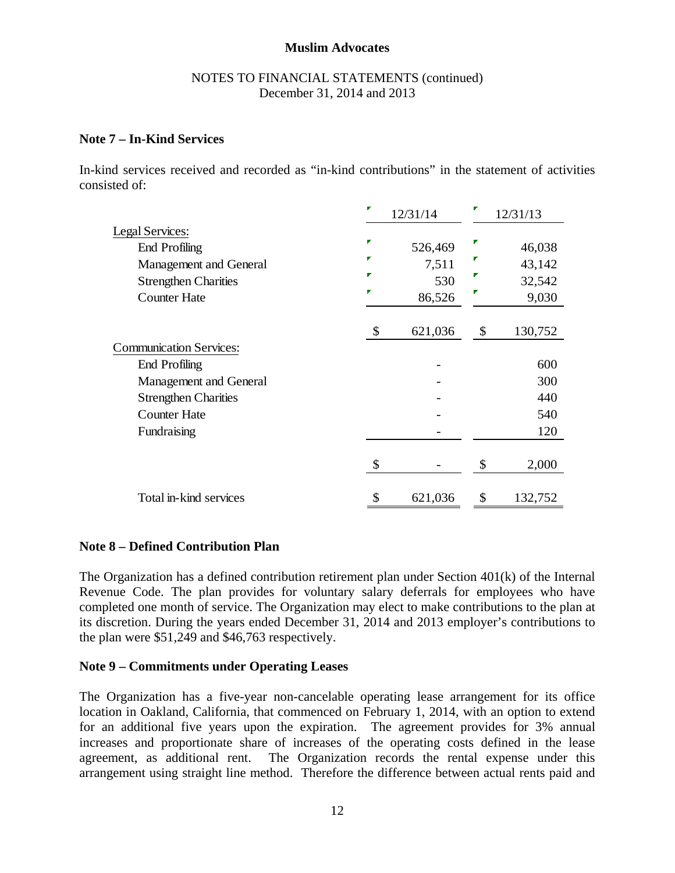#### NOTES TO FINANCIAL STATEMENTS (continued) December 31, 2014 and 2013

### **Note 7 – In-Kind Services**

In-kind services received and recorded as "in-kind contributions" in the statement of activities consisted of:

|                                | 12/31/14      | 12/31/13      |
|--------------------------------|---------------|---------------|
| Legal Services:                |               |               |
| <b>End Profiling</b>           | 526,469       | 46,038        |
| Management and General         | 7,511         | 43,142        |
| <b>Strengthen Charities</b>    | 530           | 32,542        |
| <b>Counter Hate</b>            | 86,526        | 9,030         |
|                                | \$<br>621,036 | \$<br>130,752 |
| <b>Communication Services:</b> |               |               |
| <b>End Profiling</b>           |               | 600           |
| Management and General         |               | 300           |
| <b>Strengthen Charities</b>    |               | 440           |
| <b>Counter Hate</b>            |               | 540           |
| Fundraising                    |               | 120           |
|                                | \$            | \$<br>2,000   |
| Total in-kind services         | \$<br>621,036 | \$<br>132,752 |

# **Note 8 – Defined Contribution Plan**

The Organization has a defined contribution retirement plan under Section 401(k) of the Internal Revenue Code. The plan provides for voluntary salary deferrals for employees who have completed one month of service. The Organization may elect to make contributions to the plan at its discretion. During the years ended December 31, 2014 and 2013 employer's contributions to the plan were \$51,249 and \$46,763 respectively.

#### **Note 9 – Commitments under Operating Leases**

The Organization has a five-year non-cancelable operating lease arrangement for its office location in Oakland, California, that commenced on February 1, 2014, with an option to extend for an additional five years upon the expiration. The agreement provides for 3% annual increases and proportionate share of increases of the operating costs defined in the lease agreement, as additional rent. The Organization records the rental expense under this arrangement using straight line method. Therefore the difference between actual rents paid and